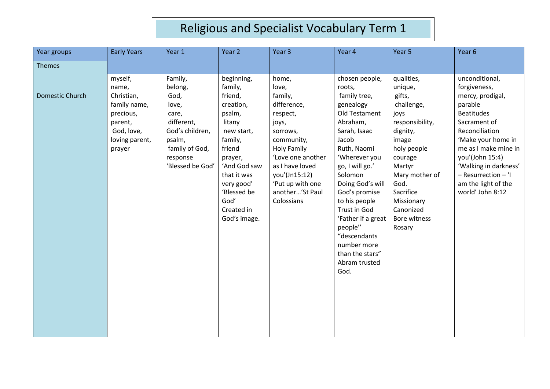| Year groups     | <b>Early Years</b>                                                                                               | Year 1                                                                                                                                    | Year 2                                                                                                                                                                                                            | Year <sub>3</sub>                                                                                                                                                                                                           | Year 4                                                                                                                                                                                                                                                                                                                                                      | Year 5                                                                                                                                                                                                                        | Year 6                                                                                                                                                                                                                                                                           |
|-----------------|------------------------------------------------------------------------------------------------------------------|-------------------------------------------------------------------------------------------------------------------------------------------|-------------------------------------------------------------------------------------------------------------------------------------------------------------------------------------------------------------------|-----------------------------------------------------------------------------------------------------------------------------------------------------------------------------------------------------------------------------|-------------------------------------------------------------------------------------------------------------------------------------------------------------------------------------------------------------------------------------------------------------------------------------------------------------------------------------------------------------|-------------------------------------------------------------------------------------------------------------------------------------------------------------------------------------------------------------------------------|----------------------------------------------------------------------------------------------------------------------------------------------------------------------------------------------------------------------------------------------------------------------------------|
| Themes          |                                                                                                                  |                                                                                                                                           |                                                                                                                                                                                                                   |                                                                                                                                                                                                                             |                                                                                                                                                                                                                                                                                                                                                             |                                                                                                                                                                                                                               |                                                                                                                                                                                                                                                                                  |
| Domestic Church | myself,<br>name,<br>Christian,<br>family name,<br>precious,<br>parent,<br>God, love,<br>loving parent,<br>prayer | Family,<br>belong,<br>God,<br>love,<br>care,<br>different,<br>God's children,<br>psalm,<br>family of God,<br>response<br>'Blessed be God' | beginning,<br>family,<br>friend,<br>creation,<br>psalm,<br>litany<br>new start,<br>family,<br>friend<br>prayer,<br>'And God saw<br>that it was<br>very good'<br>'Blessed be<br>God'<br>Created in<br>God's image. | home,<br>love,<br>family,<br>difference,<br>respect,<br>joys,<br>sorrows,<br>community,<br><b>Holy Family</b><br>'Love one another<br>as I have loved<br>you'(Jn15:12)<br>'Put up with one<br>another'St Paul<br>Colossians | chosen people,<br>roots,<br>family tree,<br>genealogy<br>Old Testament<br>Abraham,<br>Sarah, Isaac<br>Jacob<br>Ruth, Naomi<br>'Wherever you<br>go, I will go.'<br>Solomon<br>Doing God's will<br>God's promise<br>to his people<br>Trust in God<br>'Father if a great<br>people"<br>"descendants<br>number more<br>than the stars"<br>Abram trusted<br>God. | qualities,<br>unique,<br>gifts,<br>challenge,<br>joys<br>responsibility,<br>dignity,<br>image<br>holy people<br>courage<br>Martyr<br>Mary mother of<br>God.<br>Sacrifice<br>Missionary<br>Canonized<br>Bore witness<br>Rosary | unconditional,<br>forgiveness,<br>mercy, prodigal,<br>parable<br><b>Beatitudes</b><br>Sacrament of<br>Reconciliation<br>'Make your home in<br>me as I make mine in<br>you'(John 15:4)<br>'Walking in darkness'<br>- Resurrection - 'I<br>am the light of the<br>world' John 8:12 |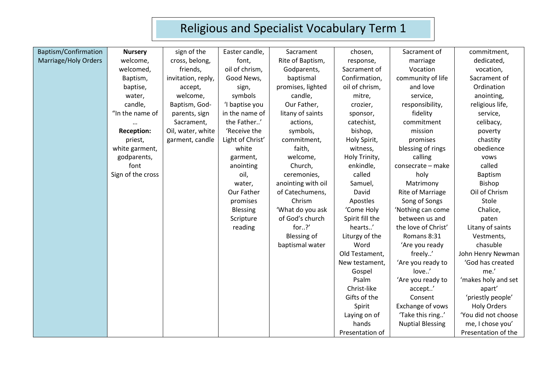| Baptism/Confirmation | <b>Nursery</b>    | sign of the        | Easter candle,   | Sacrament          | chosen,         | Sacrament of            | commitment,         |
|----------------------|-------------------|--------------------|------------------|--------------------|-----------------|-------------------------|---------------------|
| Marriage/Holy Orders | welcome,          | cross, belong,     | font,            | Rite of Baptism,   | response,       | marriage                | dedicated,          |
|                      | welcomed,         | friends,           | oil of chrism,   | Godparents,        | Sacrament of    | Vocation                | vocation,           |
|                      | Baptism,          | invitation, reply, | Good News,       | baptismal          | Confirmation,   | community of life       | Sacrament of        |
|                      | baptise,          | accept,            | sign,            | promises, lighted  | oil of chrism,  | and love                | Ordination          |
|                      | water,            | welcome,           | symbols          | candle,            | mitre,          | service,                | anointing,          |
|                      | candle,           | Baptism, God-      | 'I baptise you   | Our Father,        | crozier,        | responsibility,         | religious life,     |
|                      | "In the name of   | parents, sign      | in the name of   | litany of saints   | sponsor,        | fidelity                | service,            |
|                      |                   | Sacrament,         | the Father'      | actions,           | catechist,      | commitment              | celibacy,           |
|                      | <b>Reception:</b> | Oil, water, white  | 'Receive the     | symbols,           | bishop,         | mission                 | poverty             |
|                      | priest,           | garment, candle    | Light of Christ' | commitment,        | Holy Spirit,    | promises                | chastity            |
|                      | white garment,    |                    | white            | faith,             | witness,        | blessing of rings       | obedience           |
|                      | godparents,       |                    | garment,         | welcome,           | Holy Trinity,   | calling                 | vows                |
|                      | font              |                    | anointing        | Church,            | enkindle,       | consecrate - make       | called              |
|                      | Sign of the cross |                    | oil,             | ceremonies,        | called          | holy                    | Baptism             |
|                      |                   |                    | water,           | anointing with oil | Samuel,         | Matrimony               | Bishop              |
|                      |                   |                    | Our Father       | of Catechumens,    | David           | <b>Rite of Marriage</b> | Oil of Chrism       |
|                      |                   |                    | promises         | Chrism             | Apostles        | Song of Songs           | Stole               |
|                      |                   |                    | <b>Blessing</b>  | 'What do you ask   | 'Come Holy      | 'Nothing can come       | Chalice,            |
|                      |                   |                    | Scripture        | of God's church    | Spirit fill the | between us and          | paten               |
|                      |                   |                    | reading          | for?'              | hearts'         | the love of Christ'     | Litany of saints    |
|                      |                   |                    |                  | <b>Blessing of</b> | Liturgy of the  | Romans 8:31             | Vestments,          |
|                      |                   |                    |                  | baptismal water    | Word            | 'Are you ready          | chasuble            |
|                      |                   |                    |                  |                    | Old Testament,  | freely'                 | John Henry Newman   |
|                      |                   |                    |                  |                    | New testament,  | 'Are you ready to       | 'God has created    |
|                      |                   |                    |                  |                    | Gospel          | love'                   | me.'                |
|                      |                   |                    |                  |                    | Psalm           | 'Are you ready to       | 'makes holy and set |
|                      |                   |                    |                  |                    | Christ-like     | accept'                 | apart'              |
|                      |                   |                    |                  |                    | Gifts of the    | Consent                 | 'priestly people'   |
|                      |                   |                    |                  |                    | Spirit          | Exchange of vows        | <b>Holy Orders</b>  |
|                      |                   |                    |                  |                    | Laying on of    | 'Take this ring'        | 'You did not choose |
|                      |                   |                    |                  |                    | hands           | <b>Nuptial Blessing</b> | me, I chose you'    |
|                      |                   |                    |                  |                    | Presentation of |                         | Presentation of the |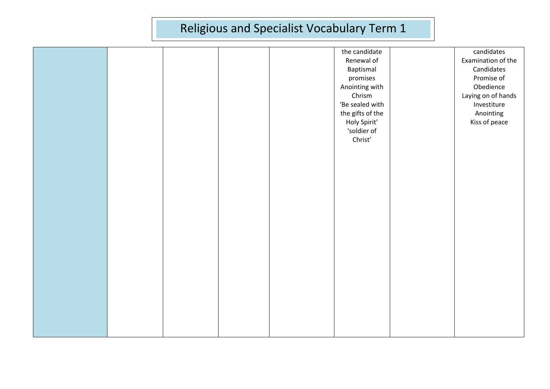|  |  | the candidate    | candidates         |
|--|--|------------------|--------------------|
|  |  | Renewal of       | Examination of the |
|  |  | Baptismal        | Candidates         |
|  |  | promises         | Promise of         |
|  |  | Anointing with   | Obedience          |
|  |  | Chrism           | Laying on of hands |
|  |  | 'Be sealed with  | Investiture        |
|  |  | the gifts of the | Anointing          |
|  |  | Holy Spirit'     | Kiss of peace      |
|  |  | 'soldier of      |                    |
|  |  | Christ'          |                    |
|  |  |                  |                    |
|  |  |                  |                    |
|  |  |                  |                    |
|  |  |                  |                    |
|  |  |                  |                    |
|  |  |                  |                    |
|  |  |                  |                    |
|  |  |                  |                    |
|  |  |                  |                    |
|  |  |                  |                    |
|  |  |                  |                    |
|  |  |                  |                    |
|  |  |                  |                    |
|  |  |                  |                    |
|  |  |                  |                    |
|  |  |                  |                    |
|  |  |                  |                    |
|  |  |                  |                    |
|  |  |                  |                    |
|  |  |                  |                    |
|  |  |                  |                    |
|  |  |                  |                    |
|  |  |                  |                    |